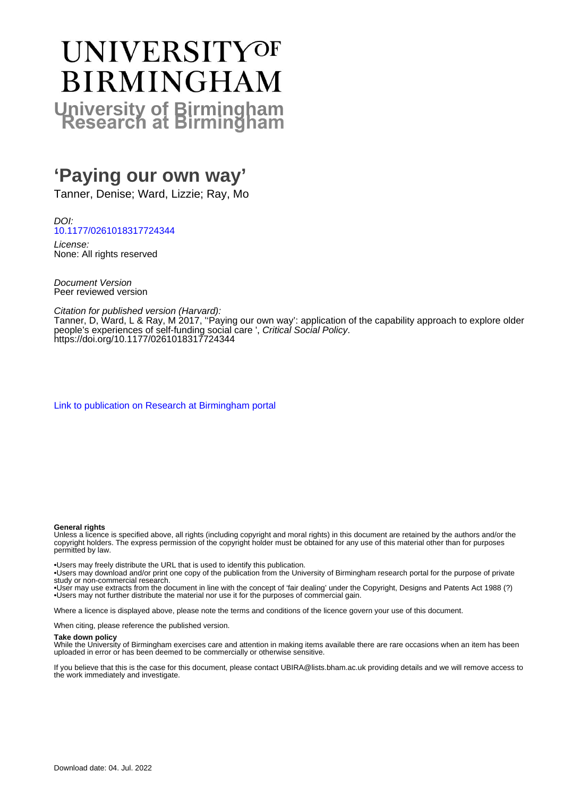# UNIVERSITYOF **BIRMINGHAM University of Birmingham**

# **'Paying our own way'**

Tanner, Denise; Ward, Lizzie; Ray, Mo

DOI: [10.1177/0261018317724344](https://doi.org/10.1177/0261018317724344)

License: None: All rights reserved

Document Version Peer reviewed version

Citation for published version (Harvard):

Tanner, D, Ward, L & Ray, M 2017, ''Paying our own way': application of the capability approach to explore older people's experiences of self-funding social care ', Critical Social Policy. <https://doi.org/10.1177/0261018317724344>

[Link to publication on Research at Birmingham portal](https://birmingham.elsevierpure.com/en/publications/abfea4e5-3bee-46c7-8b80-36f4ee8bcf26)

#### **General rights**

Unless a licence is specified above, all rights (including copyright and moral rights) in this document are retained by the authors and/or the copyright holders. The express permission of the copyright holder must be obtained for any use of this material other than for purposes permitted by law.

• Users may freely distribute the URL that is used to identify this publication.

• Users may download and/or print one copy of the publication from the University of Birmingham research portal for the purpose of private study or non-commercial research.

• User may use extracts from the document in line with the concept of 'fair dealing' under the Copyright, Designs and Patents Act 1988 (?) • Users may not further distribute the material nor use it for the purposes of commercial gain.

Where a licence is displayed above, please note the terms and conditions of the licence govern your use of this document.

When citing, please reference the published version.

#### **Take down policy**

While the University of Birmingham exercises care and attention in making items available there are rare occasions when an item has been uploaded in error or has been deemed to be commercially or otherwise sensitive.

If you believe that this is the case for this document, please contact UBIRA@lists.bham.ac.uk providing details and we will remove access to the work immediately and investigate.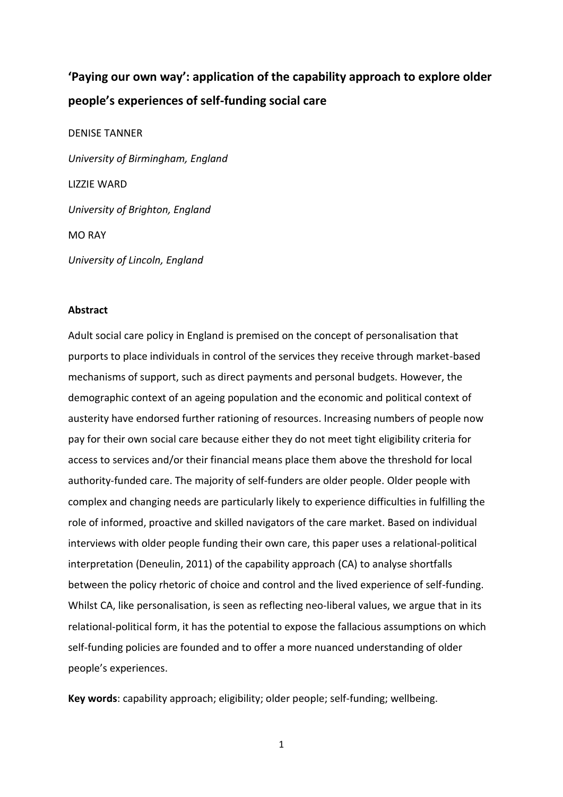# **'Paying our own way': application of the capability approach to explore older people's experiences of self-funding social care**

DENISE TANNER *University of Birmingham, England* LIZZIE WARD *University of Brighton, England* MO RAY *University of Lincoln, England*

#### **Abstract**

Adult social care policy in England is premised on the concept of personalisation that purports to place individuals in control of the services they receive through market-based mechanisms of support, such as direct payments and personal budgets. However, the demographic context of an ageing population and the economic and political context of austerity have endorsed further rationing of resources. Increasing numbers of people now pay for their own social care because either they do not meet tight eligibility criteria for access to services and/or their financial means place them above the threshold for local authority-funded care. The majority of self-funders are older people. Older people with complex and changing needs are particularly likely to experience difficulties in fulfilling the role of informed, proactive and skilled navigators of the care market. Based on individual interviews with older people funding their own care, this paper uses a relational-political interpretation (Deneulin, 2011) of the capability approach (CA) to analyse shortfalls between the policy rhetoric of choice and control and the lived experience of self-funding. Whilst CA, like personalisation, is seen as reflecting neo-liberal values, we argue that in its relational-political form, it has the potential to expose the fallacious assumptions on which self-funding policies are founded and to offer a more nuanced understanding of older people's experiences.

**Key words**: capability approach; eligibility; older people; self-funding; wellbeing.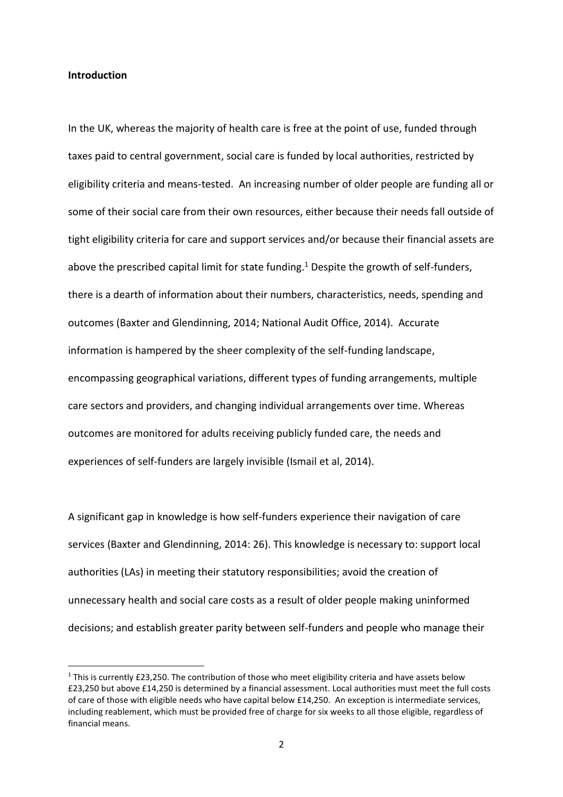#### **Introduction**

**.** 

In the UK, whereas the majority of health care is free at the point of use, funded through taxes paid to central government, social care is funded by local authorities, restricted by eligibility criteria and means-tested. An increasing number of older people are funding all or some of their social care from their own resources, either because their needs fall outside of tight eligibility criteria for care and support services and/or because their financial assets are above the prescribed capital limit for state funding. <sup>1</sup> Despite the growth of self-funders, there is a dearth of information about their numbers, characteristics, needs, spending and outcomes (Baxter and Glendinning, 2014; National Audit Office, 2014). Accurate information is hampered by the sheer complexity of the self-funding landscape, encompassing geographical variations, different types of funding arrangements, multiple care sectors and providers, and changing individual arrangements over time. Whereas outcomes are monitored for adults receiving publicly funded care, the needs and experiences of self-funders are largely invisible (Ismail et al, 2014).

A significant gap in knowledge is how self-funders experience their navigation of care services (Baxter and Glendinning, 2014: 26). This knowledge is necessary to: support local authorities (LAs) in meeting their statutory responsibilities; avoid the creation of unnecessary health and social care costs as a result of older people making uninformed decisions; and establish greater parity between self-funders and people who manage their

<sup>&</sup>lt;sup>1</sup> This is currently £23,250. The contribution of those who meet eligibility criteria and have assets below £23,250 but above £14,250 is determined by a financial assessment. Local authorities must meet the full costs of care of those with eligible needs who have capital below £14,250. An exception is intermediate services, including reablement, which must be provided free of charge for six weeks to all those eligible, regardless of financial means.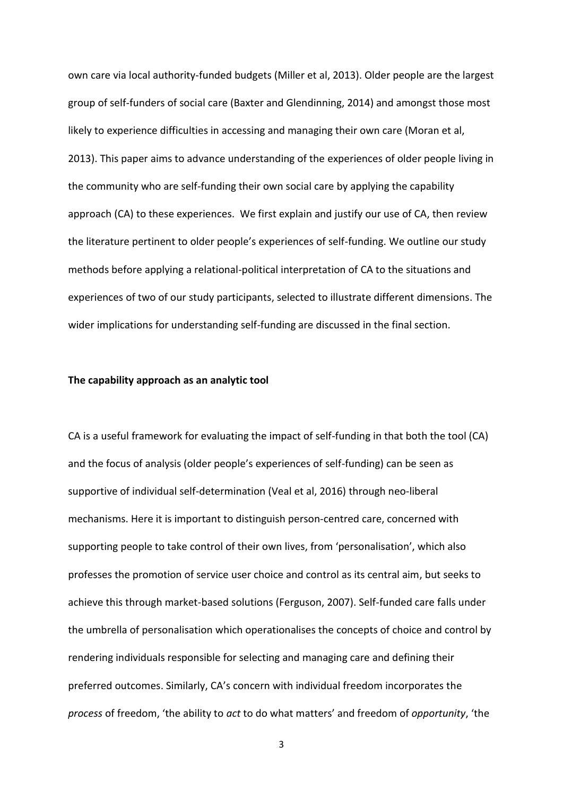own care via local authority-funded budgets (Miller et al, 2013). Older people are the largest group of self-funders of social care (Baxter and Glendinning, 2014) and amongst those most likely to experience difficulties in accessing and managing their own care (Moran et al, 2013). This paper aims to advance understanding of the experiences of older people living in the community who are self-funding their own social care by applying the capability approach (CA) to these experiences. We first explain and justify our use of CA, then review the literature pertinent to older people's experiences of self-funding. We outline our study methods before applying a relational-political interpretation of CA to the situations and experiences of two of our study participants, selected to illustrate different dimensions. The wider implications for understanding self-funding are discussed in the final section.

#### **The capability approach as an analytic tool**

CA is a useful framework for evaluating the impact of self-funding in that both the tool (CA) and the focus of analysis (older people's experiences of self-funding) can be seen as supportive of individual self-determination (Veal et al, 2016) through neo-liberal mechanisms. Here it is important to distinguish person-centred care, concerned with supporting people to take control of their own lives, from 'personalisation', which also professes the promotion of service user choice and control as its central aim, but seeks to achieve this through market-based solutions (Ferguson, 2007). Self-funded care falls under the umbrella of personalisation which operationalises the concepts of choice and control by rendering individuals responsible for selecting and managing care and defining their preferred outcomes. Similarly, CA's concern with individual freedom incorporates the *process* of freedom, 'the ability to *act* to do what matters' and freedom of *opportunity*, 'the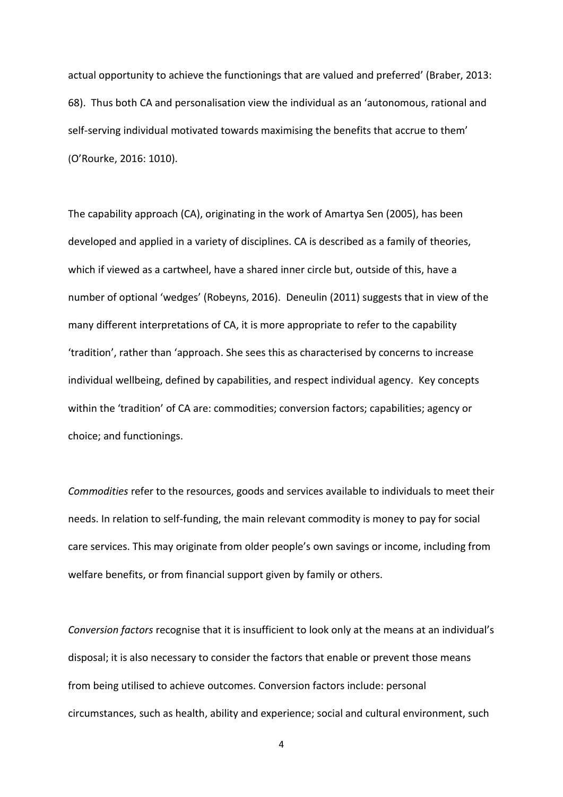actual opportunity to achieve the functionings that are valued and preferred' (Braber, 2013: 68). Thus both CA and personalisation view the individual as an 'autonomous, rational and self-serving individual motivated towards maximising the benefits that accrue to them' (O'Rourke, 2016: 1010).

The capability approach (CA), originating in the work of Amartya Sen (2005), has been developed and applied in a variety of disciplines. CA is described as a family of theories, which if viewed as a cartwheel, have a shared inner circle but, outside of this, have a number of optional 'wedges' (Robeyns, 2016). Deneulin (2011) suggests that in view of the many different interpretations of CA, it is more appropriate to refer to the capability 'tradition', rather than 'approach. She sees this as characterised by concerns to increase individual wellbeing, defined by capabilities, and respect individual agency. Key concepts within the 'tradition' of CA are: commodities; conversion factors; capabilities; agency or choice; and functionings.

*Commodities* refer to the resources, goods and services available to individuals to meet their needs. In relation to self-funding, the main relevant commodity is money to pay for social care services. This may originate from older people's own savings or income, including from welfare benefits, or from financial support given by family or others.

*Conversion factors* recognise that it is insufficient to look only at the means at an individual's disposal; it is also necessary to consider the factors that enable or prevent those means from being utilised to achieve outcomes. Conversion factors include: personal circumstances, such as health, ability and experience; social and cultural environment, such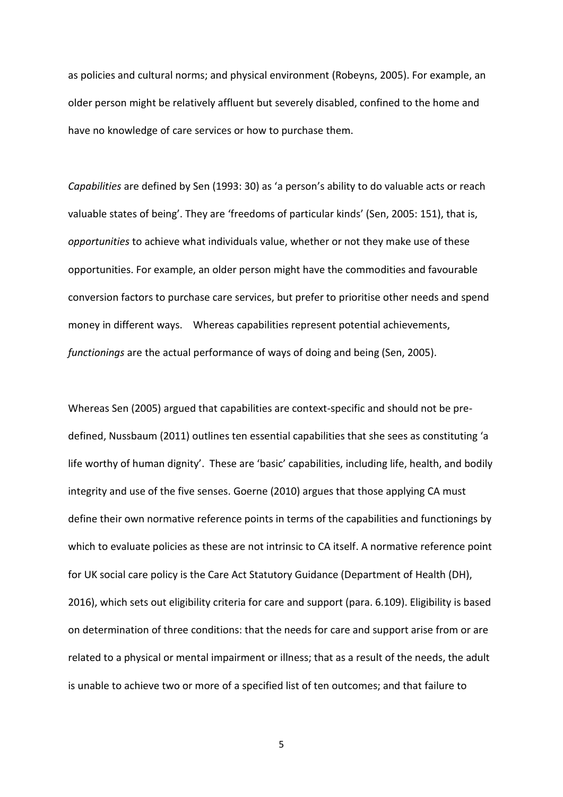as policies and cultural norms; and physical environment (Robeyns, 2005). For example, an older person might be relatively affluent but severely disabled, confined to the home and have no knowledge of care services or how to purchase them.

*Capabilities* are defined by Sen (1993: 30) as 'a person's ability to do valuable acts or reach valuable states of being'. They are 'freedoms of particular kinds' (Sen, 2005: 151), that is, *opportunities* to achieve what individuals value, whether or not they make use of these opportunities. For example, an older person might have the commodities and favourable conversion factors to purchase care services, but prefer to prioritise other needs and spend money in different ways. Whereas capabilities represent potential achievements, *functionings* are the actual performance of ways of doing and being (Sen, 2005).

Whereas Sen (2005) argued that capabilities are context-specific and should not be predefined, Nussbaum (2011) outlines ten essential capabilities that she sees as constituting 'a life worthy of human dignity'. These are 'basic' capabilities, including life, health, and bodily integrity and use of the five senses. Goerne (2010) argues that those applying CA must define their own normative reference points in terms of the capabilities and functionings by which to evaluate policies as these are not intrinsic to CA itself. A normative reference point for UK social care policy is the Care Act Statutory Guidance (Department of Health (DH), 2016), which sets out eligibility criteria for care and support (para. 6.109). Eligibility is based on determination of three conditions: that the needs for care and support arise from or are related to a physical or mental impairment or illness; that as a result of the needs, the adult is unable to achieve two or more of a specified list of ten outcomes; and that failure to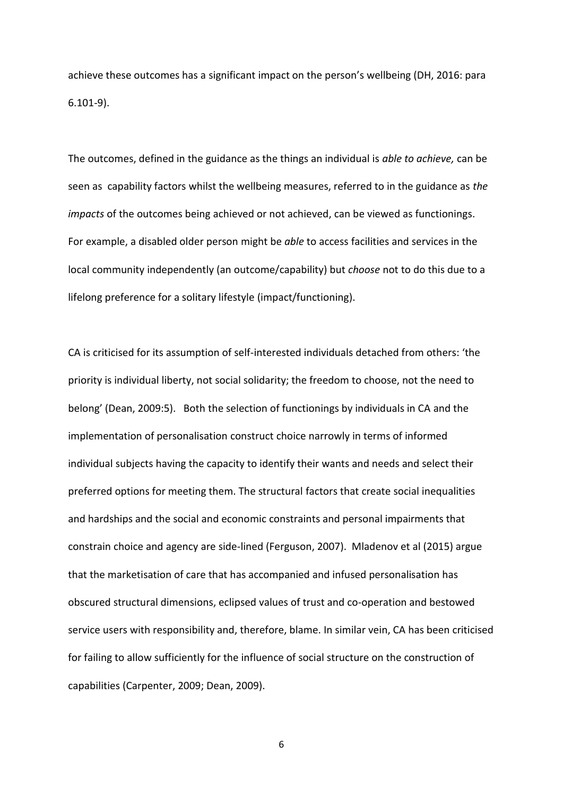achieve these outcomes has a significant impact on the person's wellbeing (DH, 2016: para 6.101-9).

The outcomes, defined in the guidance as the things an individual is *able to achieve,* can be seen as capability factors whilst the wellbeing measures, referred to in the guidance as *the impacts* of the outcomes being achieved or not achieved, can be viewed as functionings. For example, a disabled older person might be *able* to access facilities and services in the local community independently (an outcome/capability) but *choose* not to do this due to a lifelong preference for a solitary lifestyle (impact/functioning).

CA is criticised for its assumption of self-interested individuals detached from others: 'the priority is individual liberty, not social solidarity; the freedom to choose, not the need to belong' (Dean, 2009:5). Both the selection of functionings by individuals in CA and the implementation of personalisation construct choice narrowly in terms of informed individual subjects having the capacity to identify their wants and needs and select their preferred options for meeting them. The structural factors that create social inequalities and hardships and the social and economic constraints and personal impairments that constrain choice and agency are side-lined (Ferguson, 2007). Mladenov et al (2015) argue that the marketisation of care that has accompanied and infused personalisation has obscured structural dimensions, eclipsed values of trust and co-operation and bestowed service users with responsibility and, therefore, blame. In similar vein, CA has been criticised for failing to allow sufficiently for the influence of social structure on the construction of capabilities (Carpenter, 2009; Dean, 2009).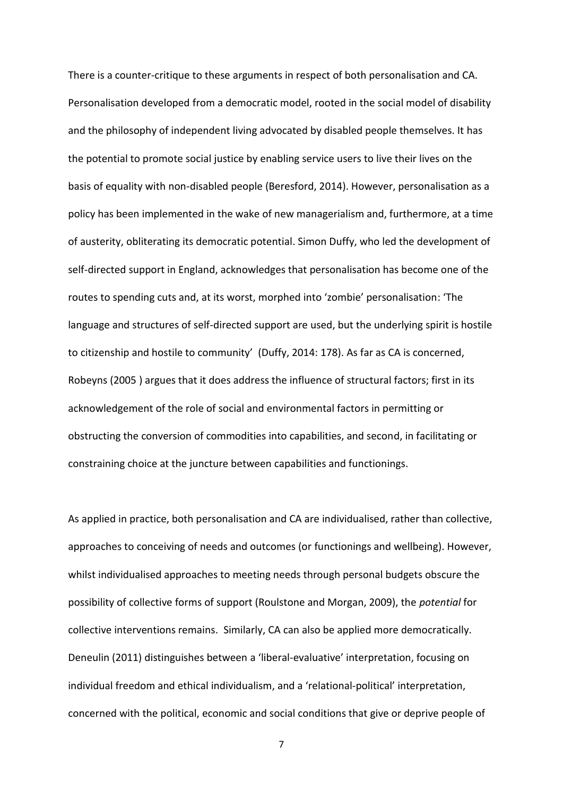There is a counter-critique to these arguments in respect of both personalisation and CA. Personalisation developed from a democratic model, rooted in the social model of disability and the philosophy of independent living advocated by disabled people themselves. It has the potential to promote social justice by enabling service users to live their lives on the basis of equality with non-disabled people (Beresford, 2014). However, personalisation as a policy has been implemented in the wake of new managerialism and, furthermore, at a time of austerity, obliterating its democratic potential. Simon Duffy, who led the development of self-directed support in England, acknowledges that personalisation has become one of the routes to spending cuts and, at its worst, morphed into 'zombie' personalisation: 'The language and structures of self-directed support are used, but the underlying spirit is hostile to citizenship and hostile to community' (Duffy, 2014: 178). As far as CA is concerned, Robeyns (2005 ) argues that it does address the influence of structural factors; first in its acknowledgement of the role of social and environmental factors in permitting or obstructing the conversion of commodities into capabilities, and second, in facilitating or constraining choice at the juncture between capabilities and functionings.

As applied in practice, both personalisation and CA are individualised, rather than collective, approaches to conceiving of needs and outcomes (or functionings and wellbeing). However, whilst individualised approaches to meeting needs through personal budgets obscure the possibility of collective forms of support (Roulstone and Morgan, 2009), the *potential* for collective interventions remains. Similarly, CA can also be applied more democratically. Deneulin (2011) distinguishes between a 'liberal-evaluative' interpretation, focusing on individual freedom and ethical individualism, and a 'relational-political' interpretation, concerned with the political, economic and social conditions that give or deprive people of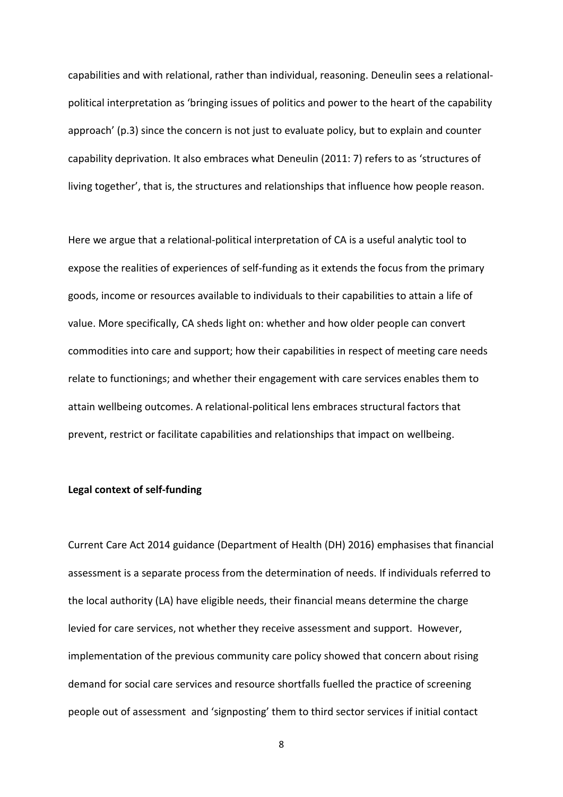capabilities and with relational, rather than individual, reasoning. Deneulin sees a relationalpolitical interpretation as 'bringing issues of politics and power to the heart of the capability approach' (p.3) since the concern is not just to evaluate policy, but to explain and counter capability deprivation. It also embraces what Deneulin (2011: 7) refers to as 'structures of living together', that is, the structures and relationships that influence how people reason.

Here we argue that a relational-political interpretation of CA is a useful analytic tool to expose the realities of experiences of self-funding as it extends the focus from the primary goods, income or resources available to individuals to their capabilities to attain a life of value. More specifically, CA sheds light on: whether and how older people can convert commodities into care and support; how their capabilities in respect of meeting care needs relate to functionings; and whether their engagement with care services enables them to attain wellbeing outcomes. A relational-political lens embraces structural factors that prevent, restrict or facilitate capabilities and relationships that impact on wellbeing.

#### **Legal context of self-funding**

Current Care Act 2014 guidance (Department of Health (DH) 2016) emphasises that financial assessment is a separate process from the determination of needs. If individuals referred to the local authority (LA) have eligible needs, their financial means determine the charge levied for care services, not whether they receive assessment and support. However, implementation of the previous community care policy showed that concern about rising demand for social care services and resource shortfalls fuelled the practice of screening people out of assessment and 'signposting' them to third sector services if initial contact

<sup>8</sup>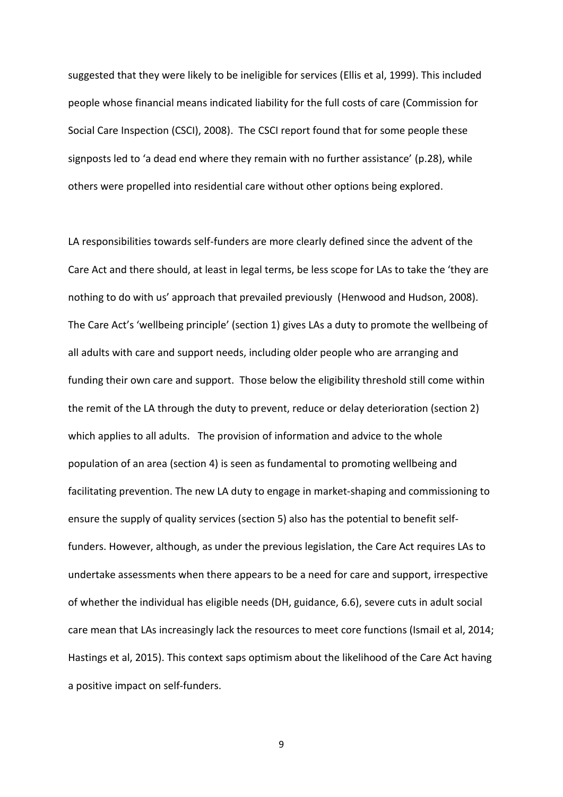suggested that they were likely to be ineligible for services (Ellis et al, 1999). This included people whose financial means indicated liability for the full costs of care (Commission for Social Care Inspection (CSCI), 2008). The CSCI report found that for some people these signposts led to 'a dead end where they remain with no further assistance' (p.28), while others were propelled into residential care without other options being explored.

LA responsibilities towards self-funders are more clearly defined since the advent of the Care Act and there should, at least in legal terms, be less scope for LAs to take the 'they are nothing to do with us' approach that prevailed previously (Henwood and Hudson, 2008). The Care Act's 'wellbeing principle' (section 1) gives LAs a duty to promote the wellbeing of all adults with care and support needs, including older people who are arranging and funding their own care and support. Those below the eligibility threshold still come within the remit of the LA through the duty to prevent, reduce or delay deterioration (section 2) which applies to all adults. The provision of information and advice to the whole population of an area (section 4) is seen as fundamental to promoting wellbeing and facilitating prevention. The new LA duty to engage in market-shaping and commissioning to ensure the supply of quality services (section 5) also has the potential to benefit selffunders. However, although, as under the previous legislation, the Care Act requires LAs to undertake assessments when there appears to be a need for care and support, irrespective of whether the individual has eligible needs (DH, guidance, 6.6), severe cuts in adult social care mean that LAs increasingly lack the resources to meet core functions (Ismail et al, 2014; Hastings et al, 2015). This context saps optimism about the likelihood of the Care Act having a positive impact on self-funders.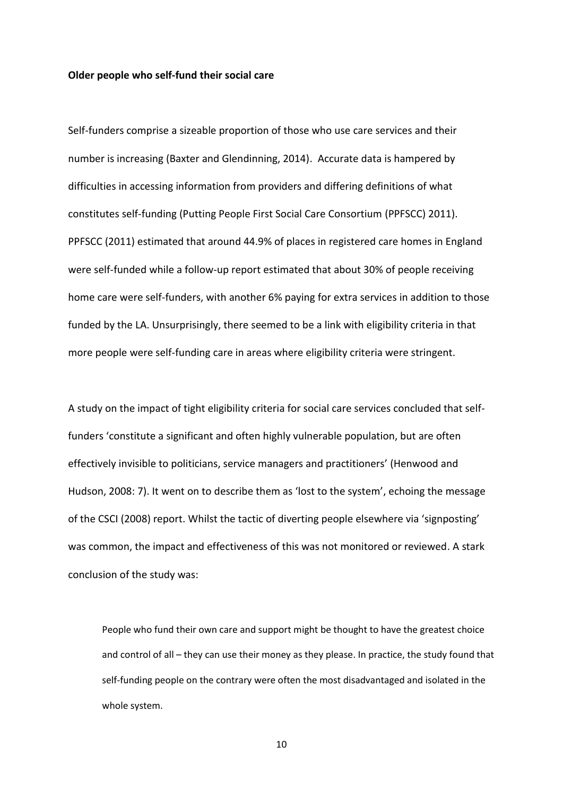#### **Older people who self-fund their social care**

Self-funders comprise a sizeable proportion of those who use care services and their number is increasing (Baxter and Glendinning, 2014). Accurate data is hampered by difficulties in accessing information from providers and differing definitions of what constitutes self-funding (Putting People First Social Care Consortium (PPFSCC) 2011). PPFSCC (2011) estimated that around 44.9% of places in registered care homes in England were self-funded while a follow-up report estimated that about 30% of people receiving home care were self-funders, with another 6% paying for extra services in addition to those funded by the LA. Unsurprisingly, there seemed to be a link with eligibility criteria in that more people were self-funding care in areas where eligibility criteria were stringent.

A study on the impact of tight eligibility criteria for social care services concluded that selffunders 'constitute a significant and often highly vulnerable population, but are often effectively invisible to politicians, service managers and practitioners' (Henwood and Hudson, 2008: 7). It went on to describe them as 'lost to the system', echoing the message of the CSCI (2008) report. Whilst the tactic of diverting people elsewhere via 'signposting' was common, the impact and effectiveness of this was not monitored or reviewed. A stark conclusion of the study was:

People who fund their own care and support might be thought to have the greatest choice and control of all – they can use their money as they please. In practice, the study found that self-funding people on the contrary were often the most disadvantaged and isolated in the whole system.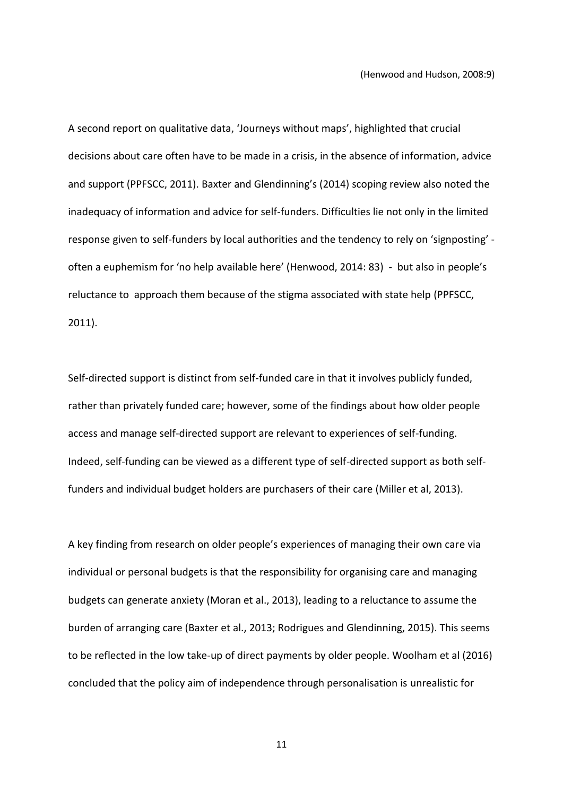A second report on qualitative data, 'Journeys without maps', highlighted that crucial decisions about care often have to be made in a crisis, in the absence of information, advice and support (PPFSCC, 2011). Baxter and Glendinning's (2014) scoping review also noted the inadequacy of information and advice for self-funders. Difficulties lie not only in the limited response given to self-funders by local authorities and the tendency to rely on 'signposting' often a euphemism for 'no help available here' (Henwood, 2014: 83) - but also in people's reluctance to approach them because of the stigma associated with state help (PPFSCC, 2011).

Self-directed support is distinct from self-funded care in that it involves publicly funded, rather than privately funded care; however, some of the findings about how older people access and manage self-directed support are relevant to experiences of self-funding. Indeed, self-funding can be viewed as a different type of self-directed support as both selffunders and individual budget holders are purchasers of their care (Miller et al, 2013).

A key finding from research on older people's experiences of managing their own care via individual or personal budgets is that the responsibility for organising care and managing budgets can generate anxiety (Moran et al., 2013), leading to a reluctance to assume the burden of arranging care (Baxter et al., 2013; Rodrigues and Glendinning, 2015). This seems to be reflected in the low take-up of direct payments by older people. Woolham et al (2016) concluded that the policy aim of independence through personalisation is unrealistic for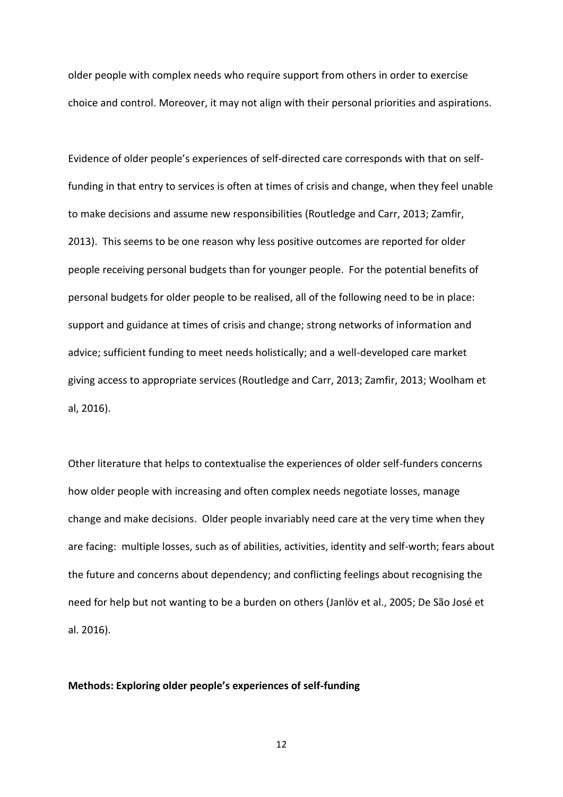older people with complex needs who require support from others in order to exercise choice and control. Moreover, it may not align with their personal priorities and aspirations.

Evidence of older people's experiences of self-directed care corresponds with that on selffunding in that entry to services is often at times of crisis and change, when they feel unable to make decisions and assume new responsibilities (Routledge and Carr, 2013; Zamfir, 2013). This seems to be one reason why less positive outcomes are reported for older people receiving personal budgets than for younger people. For the potential benefits of personal budgets for older people to be realised, all of the following need to be in place: support and guidance at times of crisis and change; strong networks of information and advice; sufficient funding to meet needs holistically; and a well-developed care market giving access to appropriate services (Routledge and Carr, 2013; Zamfir, 2013; Woolham et al, 2016).

Other literature that helps to contextualise the experiences of older self-funders concerns how older people with increasing and often complex needs negotiate losses, manage change and make decisions. Older people invariably need care at the very time when they are facing: multiple losses, such as of abilities, activities, identity and self-worth; fears about the future and concerns about dependency; and conflicting feelings about recognising the need for help but not wanting to be a burden on others (Janlöv et al., 2005; De São José et al. 2016).

#### **Methods: Exploring older people's experiences of self-funding**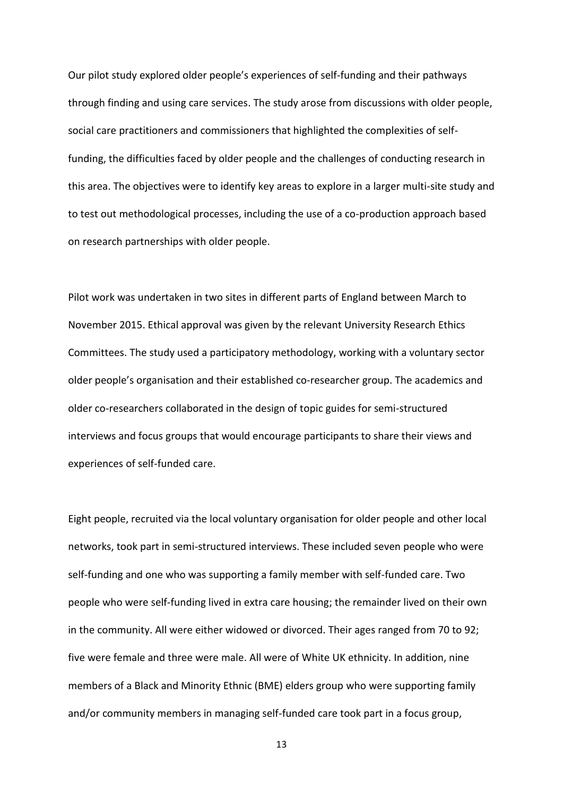Our pilot study explored older people's experiences of self-funding and their pathways through finding and using care services. The study arose from discussions with older people, social care practitioners and commissioners that highlighted the complexities of selffunding, the difficulties faced by older people and the challenges of conducting research in this area. The objectives were to identify key areas to explore in a larger multi-site study and to test out methodological processes, including the use of a co-production approach based on research partnerships with older people.

Pilot work was undertaken in two sites in different parts of England between March to November 2015. Ethical approval was given by the relevant University Research Ethics Committees. The study used a participatory methodology, working with a voluntary sector older people's organisation and their established co-researcher group. The academics and older co-researchers collaborated in the design of topic guides for semi-structured interviews and focus groups that would encourage participants to share their views and experiences of self-funded care.

Eight people, recruited via the local voluntary organisation for older people and other local networks, took part in semi-structured interviews. These included seven people who were self-funding and one who was supporting a family member with self-funded care. Two people who were self-funding lived in extra care housing; the remainder lived on their own in the community. All were either widowed or divorced. Their ages ranged from 70 to 92; five were female and three were male. All were of White UK ethnicity. In addition, nine members of a Black and Minority Ethnic (BME) elders group who were supporting family and/or community members in managing self-funded care took part in a focus group,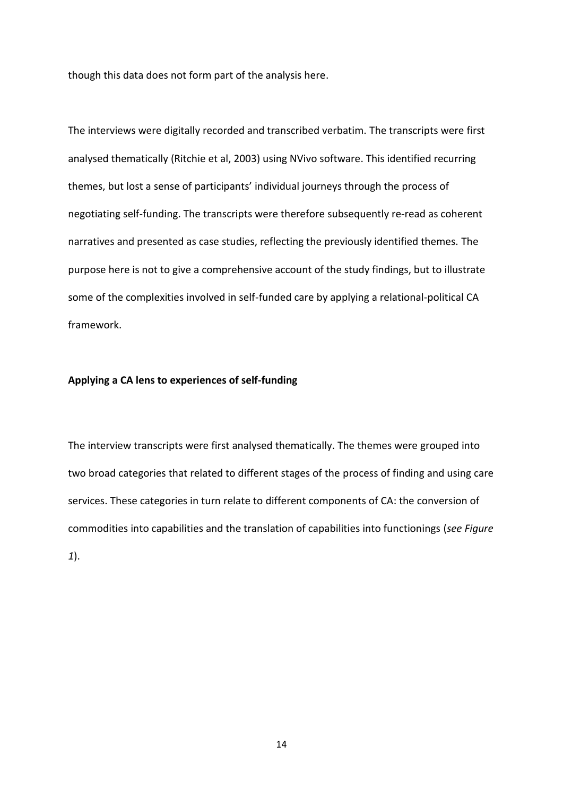though this data does not form part of the analysis here.

The interviews were digitally recorded and transcribed verbatim. The transcripts were first analysed thematically (Ritchie et al, 2003) using NVivo software. This identified recurring themes, but lost a sense of participants' individual journeys through the process of negotiating self-funding. The transcripts were therefore subsequently re-read as coherent narratives and presented as case studies, reflecting the previously identified themes. The purpose here is not to give a comprehensive account of the study findings, but to illustrate some of the complexities involved in self-funded care by applying a relational-political CA framework.

#### **Applying a CA lens to experiences of self-funding**

The interview transcripts were first analysed thematically. The themes were grouped into two broad categories that related to different stages of the process of finding and using care services. These categories in turn relate to different components of CA: the conversion of commodities into capabilities and the translation of capabilities into functionings (*see Figure 1*).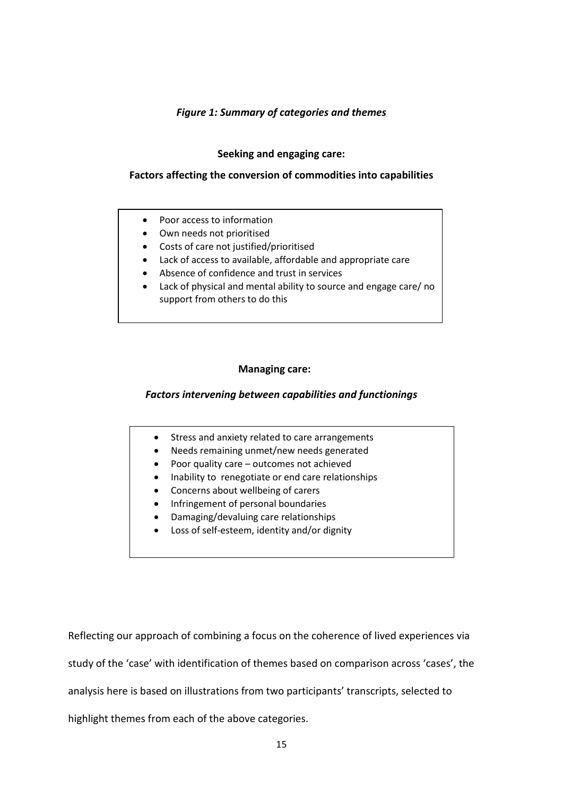## *Figure 1: Summary of categories and themes*

## **Seeking and engaging care:**

## **Factors affecting the conversion of commodities into capabilities**

- Poor access to information
- Own needs not prioritised
- Costs of care not justified/prioritised
- Lack of access to available, affordable and appropriate care
- Absence of confidence and trust in services
- Lack of physical and mental ability to source and engage care/ no support from others to do this

## **Managing care:**

## *Factors intervening between capabilities and functionings*

- Stress and anxiety related to care arrangements
- Needs remaining unmet/new needs generated
- Poor quality care outcomes not achieved
- Inability to renegotiate or end care relationships
- Concerns about wellbeing of carers
- Infringement of personal boundaries
- Damaging/devaluing care relationships
- Loss of self-esteem, identity and/or dignity

Reflecting our approach of combining a focus on the coherence of lived experiences via study of the 'case' with identification of themes based on comparison across 'cases', the analysis here is based on illustrations from two participants' transcripts, selected to highlight themes from each of the above categories.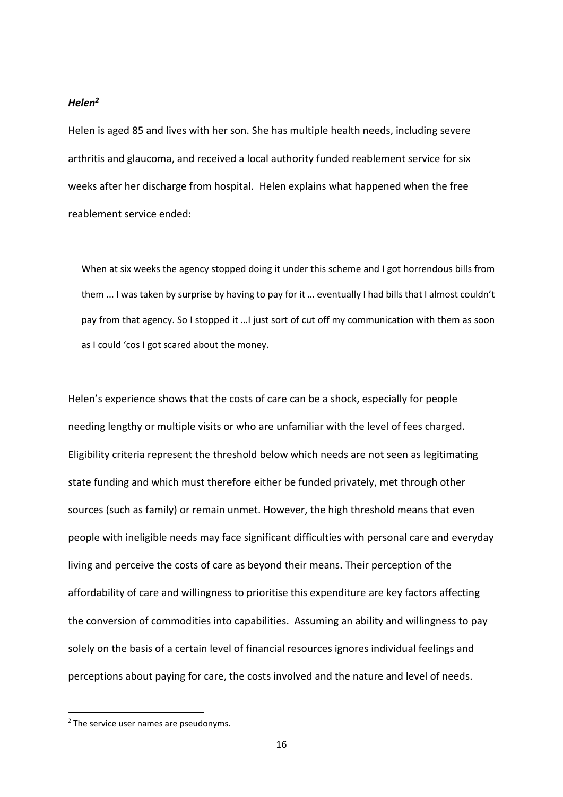#### *Helen<sup>2</sup>*

Helen is aged 85 and lives with her son. She has multiple health needs, including severe arthritis and glaucoma, and received a local authority funded reablement service for six weeks after her discharge from hospital. Helen explains what happened when the free reablement service ended:

When at six weeks the agency stopped doing it under this scheme and I got horrendous bills from them ... I was taken by surprise by having to pay for it … eventually I had bills that I almost couldn't pay from that agency. So I stopped it …I just sort of cut off my communication with them as soon as I could 'cos I got scared about the money.

Helen's experience shows that the costs of care can be a shock, especially for people needing lengthy or multiple visits or who are unfamiliar with the level of fees charged. Eligibility criteria represent the threshold below which needs are not seen as legitimating state funding and which must therefore either be funded privately, met through other sources (such as family) or remain unmet. However, the high threshold means that even people with ineligible needs may face significant difficulties with personal care and everyday living and perceive the costs of care as beyond their means. Their perception of the affordability of care and willingness to prioritise this expenditure are key factors affecting the conversion of commodities into capabilities. Assuming an ability and willingness to pay solely on the basis of a certain level of financial resources ignores individual feelings and perceptions about paying for care, the costs involved and the nature and level of needs.

**.** 

<sup>&</sup>lt;sup>2</sup> The service user names are pseudonyms.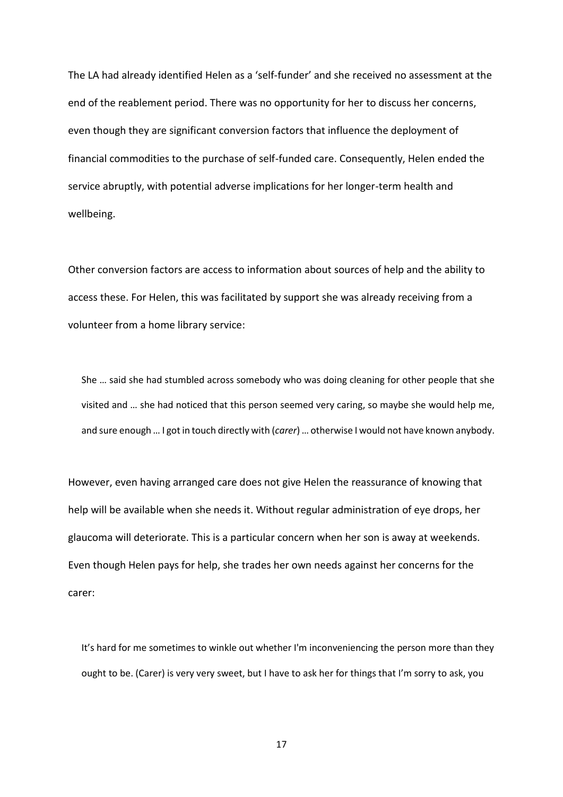The LA had already identified Helen as a 'self-funder' and she received no assessment at the end of the reablement period. There was no opportunity for her to discuss her concerns, even though they are significant conversion factors that influence the deployment of financial commodities to the purchase of self-funded care. Consequently, Helen ended the service abruptly, with potential adverse implications for her longer-term health and wellbeing.

Other conversion factors are access to information about sources of help and the ability to access these. For Helen, this was facilitated by support she was already receiving from a volunteer from a home library service:

She … said she had stumbled across somebody who was doing cleaning for other people that she visited and … she had noticed that this person seemed very caring, so maybe she would help me, and sure enough … I got in touch directly with (*carer*) … otherwise I would not have known anybody.

However, even having arranged care does not give Helen the reassurance of knowing that help will be available when she needs it. Without regular administration of eye drops, her glaucoma will deteriorate. This is a particular concern when her son is away at weekends. Even though Helen pays for help, she trades her own needs against her concerns for the carer:

It's hard for me sometimes to winkle out whether I'm inconveniencing the person more than they ought to be. (Carer) is very very sweet, but I have to ask her for things that I'm sorry to ask, you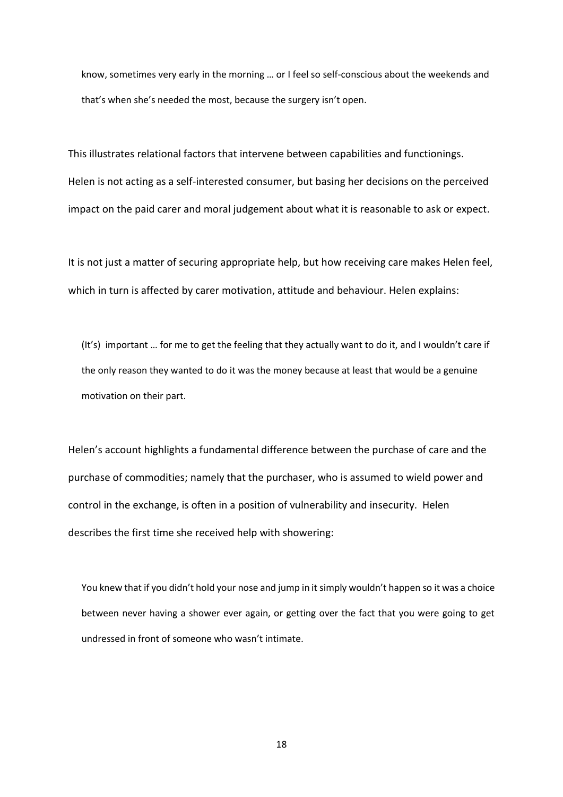know, sometimes very early in the morning … or I feel so self-conscious about the weekends and that's when she's needed the most, because the surgery isn't open.

This illustrates relational factors that intervene between capabilities and functionings. Helen is not acting as a self-interested consumer, but basing her decisions on the perceived impact on the paid carer and moral judgement about what it is reasonable to ask or expect.

It is not just a matter of securing appropriate help, but how receiving care makes Helen feel, which in turn is affected by carer motivation, attitude and behaviour. Helen explains:

(It's) important … for me to get the feeling that they actually want to do it, and I wouldn't care if the only reason they wanted to do it was the money because at least that would be a genuine motivation on their part.

Helen's account highlights a fundamental difference between the purchase of care and the purchase of commodities; namely that the purchaser, who is assumed to wield power and control in the exchange, is often in a position of vulnerability and insecurity. Helen describes the first time she received help with showering:

You knew that if you didn't hold your nose and jump in it simply wouldn't happen so it was a choice between never having a shower ever again, or getting over the fact that you were going to get undressed in front of someone who wasn't intimate.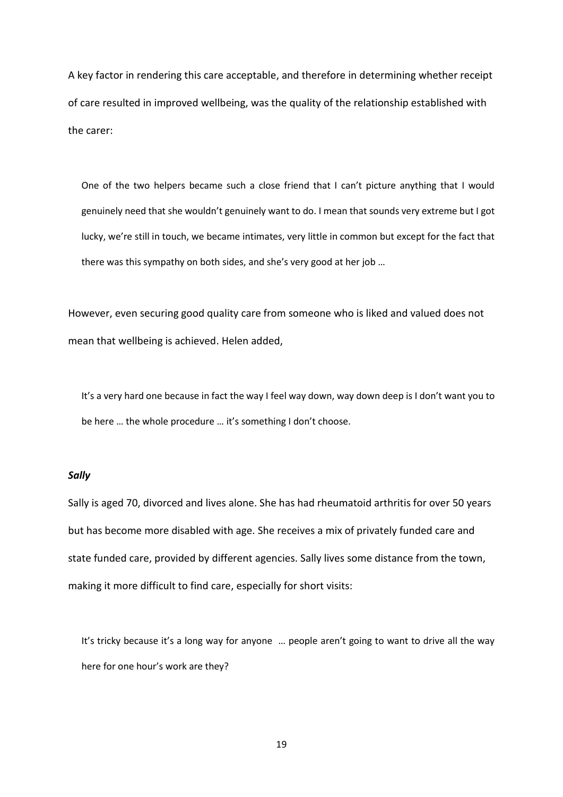A key factor in rendering this care acceptable, and therefore in determining whether receipt of care resulted in improved wellbeing, was the quality of the relationship established with the carer:

One of the two helpers became such a close friend that I can't picture anything that I would genuinely need that she wouldn't genuinely want to do. I mean that sounds very extreme but I got lucky, we're still in touch, we became intimates, very little in common but except for the fact that there was this sympathy on both sides, and she's very good at her job …

However, even securing good quality care from someone who is liked and valued does not mean that wellbeing is achieved. Helen added,

It's a very hard one because in fact the way I feel way down, way down deep is I don't want you to be here ... the whole procedure ... it's something I don't choose.

#### *Sally*

Sally is aged 70, divorced and lives alone. She has had rheumatoid arthritis for over 50 years but has become more disabled with age. She receives a mix of privately funded care and state funded care, provided by different agencies. Sally lives some distance from the town, making it more difficult to find care, especially for short visits:

It's tricky because it's a long way for anyone … people aren't going to want to drive all the way here for one hour's work are they?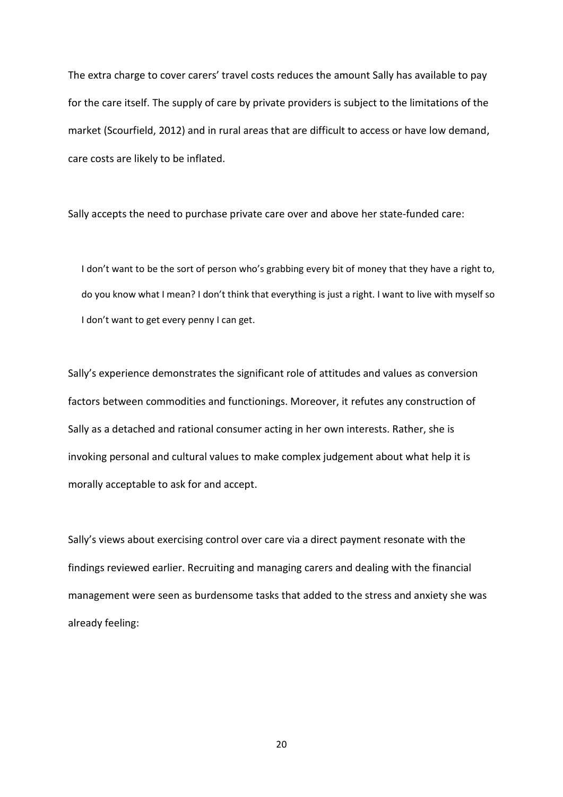The extra charge to cover carers' travel costs reduces the amount Sally has available to pay for the care itself. The supply of care by private providers is subject to the limitations of the market (Scourfield, 2012) and in rural areas that are difficult to access or have low demand, care costs are likely to be inflated.

Sally accepts the need to purchase private care over and above her state-funded care:

I don't want to be the sort of person who's grabbing every bit of money that they have a right to, do you know what I mean? I don't think that everything is just a right. I want to live with myself so I don't want to get every penny I can get.

Sally's experience demonstrates the significant role of attitudes and values as conversion factors between commodities and functionings. Moreover, it refutes any construction of Sally as a detached and rational consumer acting in her own interests. Rather, she is invoking personal and cultural values to make complex judgement about what help it is morally acceptable to ask for and accept.

Sally's views about exercising control over care via a direct payment resonate with the findings reviewed earlier. Recruiting and managing carers and dealing with the financial management were seen as burdensome tasks that added to the stress and anxiety she was already feeling: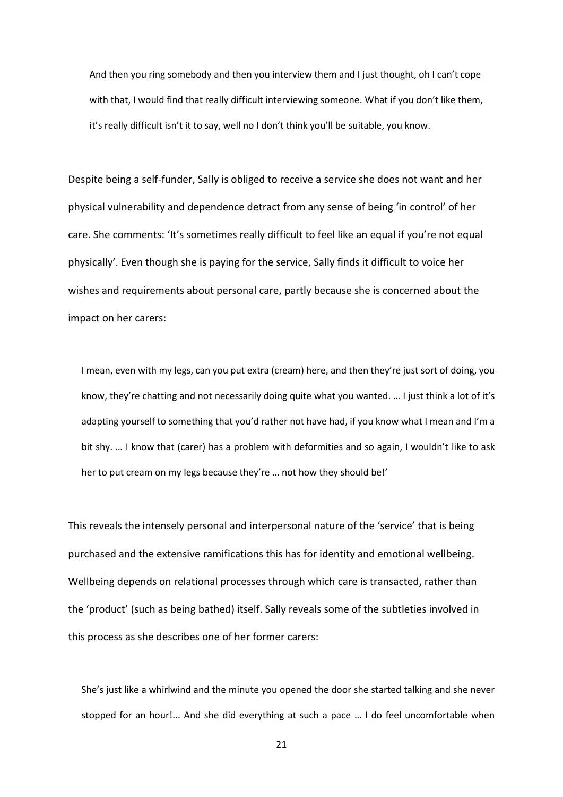And then you ring somebody and then you interview them and I just thought, oh I can't cope with that, I would find that really difficult interviewing someone. What if you don't like them, it's really difficult isn't it to say, well no I don't think you'll be suitable, you know.

Despite being a self-funder, Sally is obliged to receive a service she does not want and her physical vulnerability and dependence detract from any sense of being 'in control' of her care. She comments: 'It's sometimes really difficult to feel like an equal if you're not equal physically'. Even though she is paying for the service, Sally finds it difficult to voice her wishes and requirements about personal care, partly because she is concerned about the impact on her carers:

I mean, even with my legs, can you put extra (cream) here, and then they're just sort of doing, you know, they're chatting and not necessarily doing quite what you wanted. ... I just think a lot of it's adapting yourself to something that you'd rather not have had, if you know what I mean and I'm a bit shy. … I know that (carer) has a problem with deformities and so again, I wouldn't like to ask her to put cream on my legs because they're ... not how they should be!'

This reveals the intensely personal and interpersonal nature of the 'service' that is being purchased and the extensive ramifications this has for identity and emotional wellbeing. Wellbeing depends on relational processes through which care is transacted, rather than the 'product' (such as being bathed) itself. Sally reveals some of the subtleties involved in this process as she describes one of her former carers:

She's just like a whirlwind and the minute you opened the door she started talking and she never stopped for an hour!... And she did everything at such a pace … I do feel uncomfortable when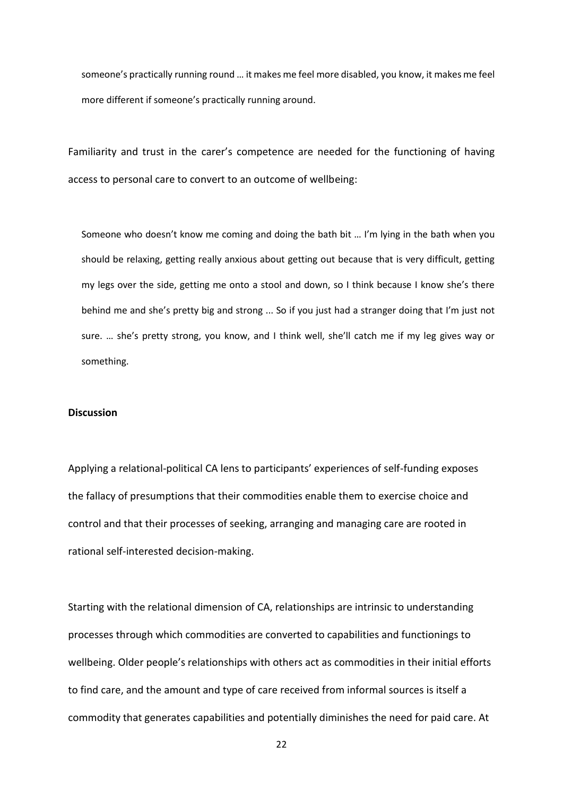someone's practically running round … it makes me feel more disabled, you know, it makes me feel more different if someone's practically running around.

Familiarity and trust in the carer's competence are needed for the functioning of having access to personal care to convert to an outcome of wellbeing:

Someone who doesn't know me coming and doing the bath bit … I'm lying in the bath when you should be relaxing, getting really anxious about getting out because that is very difficult, getting my legs over the side, getting me onto a stool and down, so I think because I know she's there behind me and she's pretty big and strong ... So if you just had a stranger doing that I'm just not sure. … she's pretty strong, you know, and I think well, she'll catch me if my leg gives way or something.

#### **Discussion**

Applying a relational-political CA lens to participants' experiences of self-funding exposes the fallacy of presumptions that their commodities enable them to exercise choice and control and that their processes of seeking, arranging and managing care are rooted in rational self-interested decision-making.

Starting with the relational dimension of CA, relationships are intrinsic to understanding processes through which commodities are converted to capabilities and functionings to wellbeing. Older people's relationships with others act as commodities in their initial efforts to find care, and the amount and type of care received from informal sources is itself a commodity that generates capabilities and potentially diminishes the need for paid care. At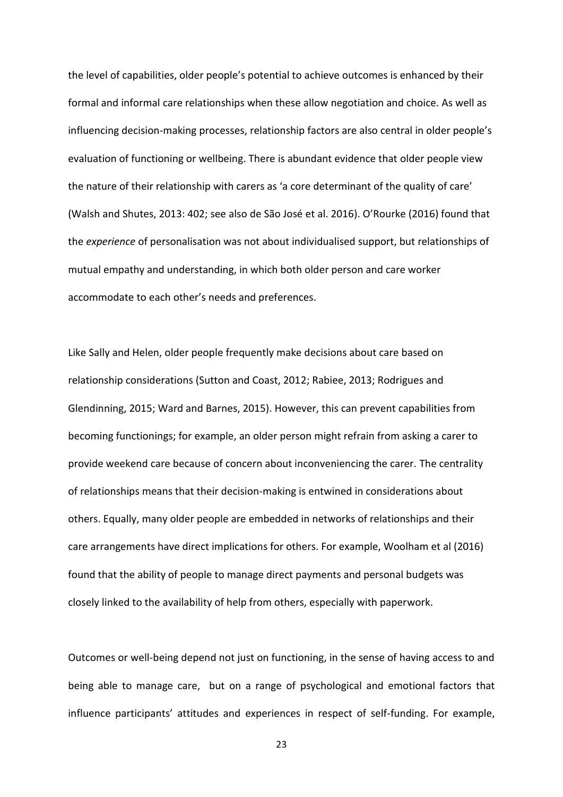the level of capabilities, older people's potential to achieve outcomes is enhanced by their formal and informal care relationships when these allow negotiation and choice. As well as influencing decision-making processes, relationship factors are also central in older people's evaluation of functioning or wellbeing. There is abundant evidence that older people view the nature of their relationship with carers as 'a core determinant of the quality of care' (Walsh and Shutes, 2013: 402; see also de São José et al. 2016). O'Rourke (2016) found that the *experience* of personalisation was not about individualised support, but relationships of mutual empathy and understanding, in which both older person and care worker accommodate to each other's needs and preferences.

Like Sally and Helen, older people frequently make decisions about care based on relationship considerations (Sutton and Coast, 2012; Rabiee, 2013; Rodrigues and Glendinning, 2015; Ward and Barnes, 2015). However, this can prevent capabilities from becoming functionings; for example, an older person might refrain from asking a carer to provide weekend care because of concern about inconveniencing the carer. The centrality of relationships means that their decision-making is entwined in considerations about others. Equally, many older people are embedded in networks of relationships and their care arrangements have direct implications for others. For example, Woolham et al (2016) found that the ability of people to manage direct payments and personal budgets was closely linked to the availability of help from others, especially with paperwork.

Outcomes or well-being depend not just on functioning, in the sense of having access to and being able to manage care, but on a range of psychological and emotional factors that influence participants' attitudes and experiences in respect of self-funding. For example,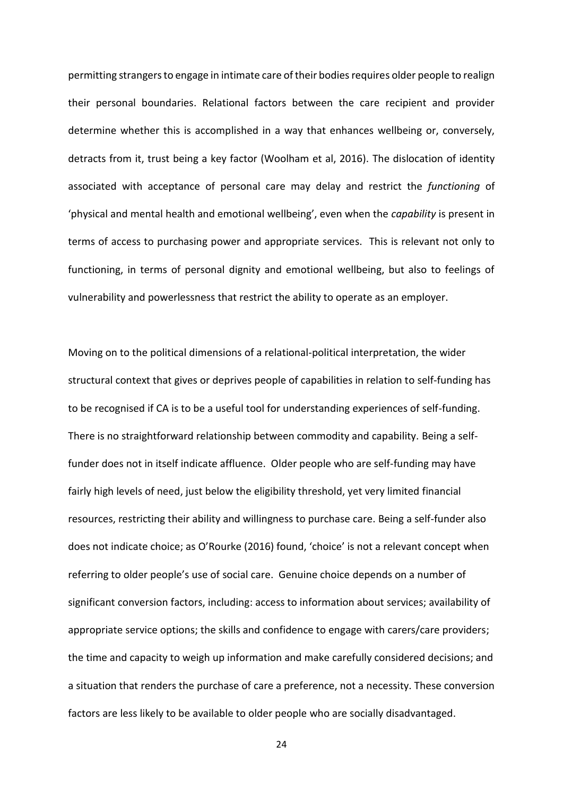permitting strangers to engage in intimate care of their bodies requires older people to realign their personal boundaries. Relational factors between the care recipient and provider determine whether this is accomplished in a way that enhances wellbeing or, conversely, detracts from it, trust being a key factor (Woolham et al, 2016). The dislocation of identity associated with acceptance of personal care may delay and restrict the *functioning* of 'physical and mental health and emotional wellbeing', even when the *capability* is present in terms of access to purchasing power and appropriate services. This is relevant not only to functioning, in terms of personal dignity and emotional wellbeing, but also to feelings of vulnerability and powerlessness that restrict the ability to operate as an employer.

Moving on to the political dimensions of a relational-political interpretation, the wider structural context that gives or deprives people of capabilities in relation to self-funding has to be recognised if CA is to be a useful tool for understanding experiences of self-funding. There is no straightforward relationship between commodity and capability. Being a selffunder does not in itself indicate affluence. Older people who are self-funding may have fairly high levels of need, just below the eligibility threshold, yet very limited financial resources, restricting their ability and willingness to purchase care. Being a self-funder also does not indicate choice; as O'Rourke (2016) found, 'choice' is not a relevant concept when referring to older people's use of social care. Genuine choice depends on a number of significant conversion factors, including: access to information about services; availability of appropriate service options; the skills and confidence to engage with carers/care providers; the time and capacity to weigh up information and make carefully considered decisions; and a situation that renders the purchase of care a preference, not a necessity. These conversion factors are less likely to be available to older people who are socially disadvantaged.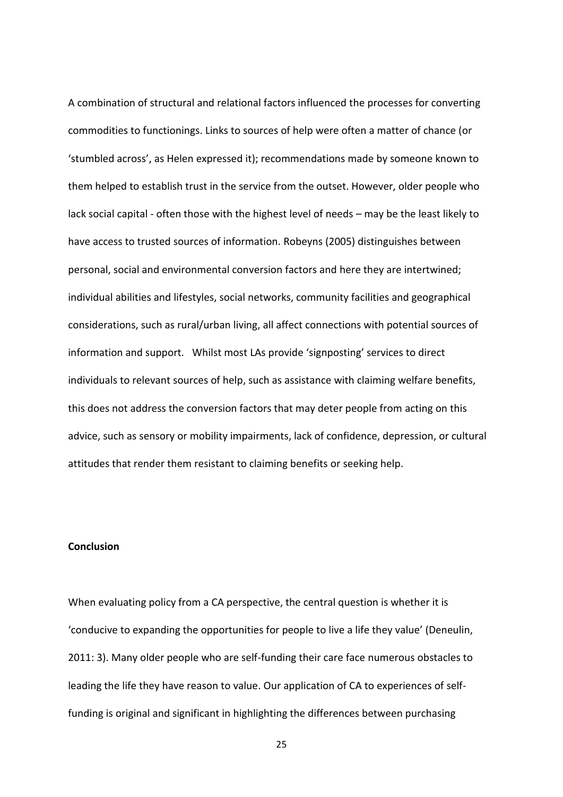A combination of structural and relational factors influenced the processes for converting commodities to functionings. Links to sources of help were often a matter of chance (or 'stumbled across', as Helen expressed it); recommendations made by someone known to them helped to establish trust in the service from the outset. However, older people who lack social capital - often those with the highest level of needs – may be the least likely to have access to trusted sources of information. Robeyns (2005) distinguishes between personal, social and environmental conversion factors and here they are intertwined; individual abilities and lifestyles, social networks, community facilities and geographical considerations, such as rural/urban living, all affect connections with potential sources of information and support. Whilst most LAs provide 'signposting' services to direct individuals to relevant sources of help, such as assistance with claiming welfare benefits, this does not address the conversion factors that may deter people from acting on this advice, such as sensory or mobility impairments, lack of confidence, depression, or cultural attitudes that render them resistant to claiming benefits or seeking help.

#### **Conclusion**

When evaluating policy from a CA perspective, the central question is whether it is 'conducive to expanding the opportunities for people to live a life they value' (Deneulin, 2011: 3). Many older people who are self-funding their care face numerous obstacles to leading the life they have reason to value. Our application of CA to experiences of selffunding is original and significant in highlighting the differences between purchasing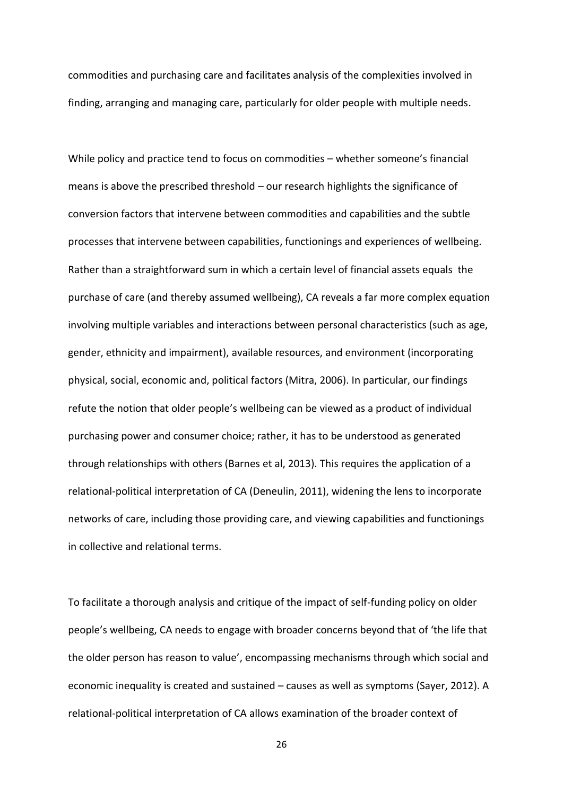commodities and purchasing care and facilitates analysis of the complexities involved in finding, arranging and managing care, particularly for older people with multiple needs.

While policy and practice tend to focus on commodities – whether someone's financial means is above the prescribed threshold – our research highlights the significance of conversion factors that intervene between commodities and capabilities and the subtle processes that intervene between capabilities, functionings and experiences of wellbeing. Rather than a straightforward sum in which a certain level of financial assets equals the purchase of care (and thereby assumed wellbeing), CA reveals a far more complex equation involving multiple variables and interactions between personal characteristics (such as age, gender, ethnicity and impairment), available resources, and environment (incorporating physical, social, economic and, political factors (Mitra, 2006). In particular, our findings refute the notion that older people's wellbeing can be viewed as a product of individual purchasing power and consumer choice; rather, it has to be understood as generated through relationships with others (Barnes et al, 2013). This requires the application of a relational-political interpretation of CA (Deneulin, 2011), widening the lens to incorporate networks of care, including those providing care, and viewing capabilities and functionings in collective and relational terms.

To facilitate a thorough analysis and critique of the impact of self-funding policy on older people's wellbeing, CA needs to engage with broader concerns beyond that of 'the life that the older person has reason to value', encompassing mechanisms through which social and economic inequality is created and sustained – causes as well as symptoms (Sayer, 2012). A relational-political interpretation of CA allows examination of the broader context of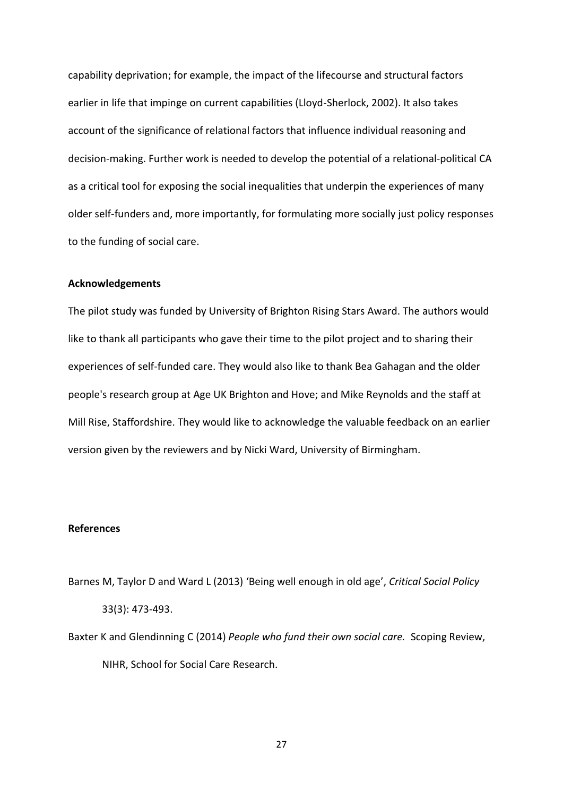capability deprivation; for example, the impact of the lifecourse and structural factors earlier in life that impinge on current capabilities (Lloyd-Sherlock, 2002). It also takes account of the significance of relational factors that influence individual reasoning and decision-making. Further work is needed to develop the potential of a relational-political CA as a critical tool for exposing the social inequalities that underpin the experiences of many older self-funders and, more importantly, for formulating more socially just policy responses to the funding of social care.

#### **Acknowledgements**

The pilot study was funded by University of Brighton Rising Stars Award. The authors would like to thank all participants who gave their time to the pilot project and to sharing their experiences of self-funded care. They would also like to thank Bea Gahagan and the older people's research group at Age UK Brighton and Hove; and Mike Reynolds and the staff at Mill Rise, Staffordshire. They would like to acknowledge the valuable feedback on an earlier version given by the reviewers and by Nicki Ward, University of Birmingham.

#### **References**

- Barnes M, Taylor D and Ward L (2013) 'Being well enough in old age', *Critical Social Policy* 33(3): 473-493.
- Baxter K and Glendinning C (2014) *People who fund their own social care.* Scoping Review, NIHR, School for Social Care Research.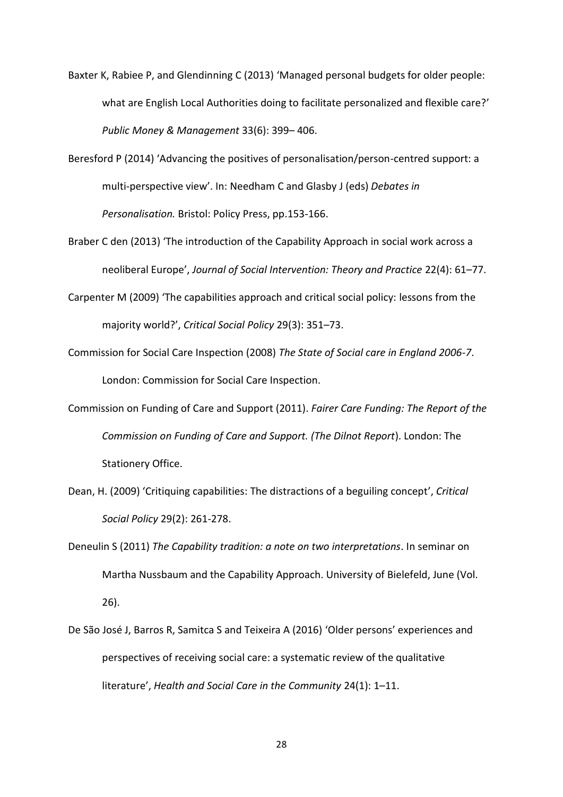- Baxter K, Rabiee P, and Glendinning C (2013) 'Managed personal budgets for older people: what are English Local Authorities doing to facilitate personalized and flexible care?' *Public Money & Management* 33(6): 399– 406.
- Beresford P (2014) 'Advancing the positives of personalisation/person-centred support: a multi-perspective view'. In: Needham C and Glasby J (eds) *Debates in Personalisation.* Bristol: Policy Press, pp.153-166.
- Braber C den (2013) 'The introduction of the Capability Approach in social work across a neoliberal Europe', *Journal of Social Intervention: Theory and Practice* 22(4): 61–77.
- Carpenter M (2009) 'The capabilities approach and critical social policy: lessons from the majority world?', *Critical Social Policy* 29(3): 351–73.
- Commission for Social Care Inspection (2008) *The State of Social care in England 2006-7*. London: Commission for Social Care Inspection.
- Commission on Funding of Care and Support (2011). *Fairer Care Funding: The Report of the Commission on Funding of Care and Support. (The Dilnot Report*). London: The Stationery Office.
- Dean, H. (2009) 'Critiquing capabilities: The distractions of a beguiling concept', *Critical Social Policy* 29(2): 261-278.
- Deneulin S (2011) *The Capability tradition: a note on two interpretations*. In seminar on Martha Nussbaum and the Capability Approach. University of Bielefeld, June (Vol. 26).
- De São José J, Barros R, Samitca S and Teixeira A (2016) 'Older persons' experiences and perspectives of receiving social care: a systematic review of the qualitative literature', *Health and Social Care in the Community* 24(1): 1–11.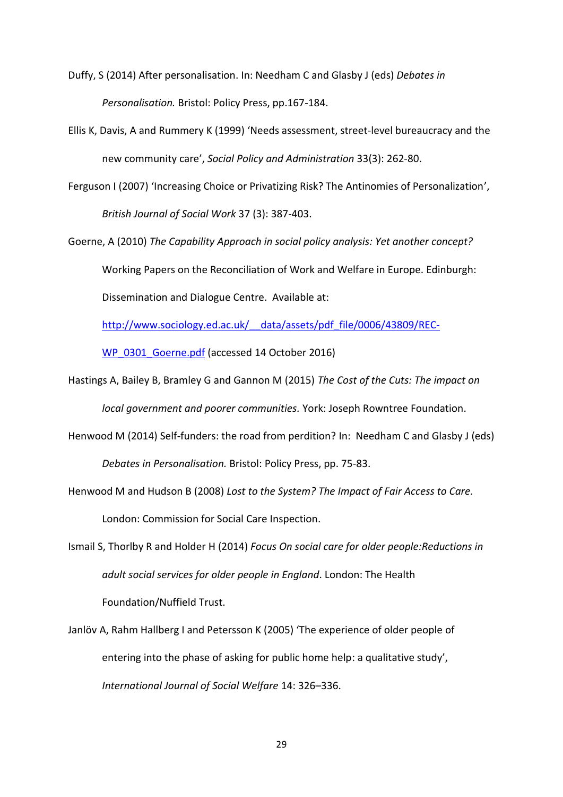Duffy, S (2014) After personalisation. In: Needham C and Glasby J (eds) *Debates in Personalisation.* Bristol: Policy Press, pp.167-184.

- Ellis K, Davis, A and Rummery K (1999) 'Needs assessment, street-level bureaucracy and the new community care', *Social Policy and Administration* 33(3): 262-80.
- Ferguson I (2007) 'Increasing Choice or Privatizing Risk? The Antinomies of Personalization', *British Journal of Social Work* 37 (3): 387-403.
- Goerne, A (2010) *The Capability Approach in social policy analysis: Yet another concept?* Working Papers on the Reconciliation of Work and Welfare in Europe. Edinburgh: Dissemination and Dialogue Centre. Available at:

http://www.sociology.ed.ac.uk/ data/assets/pdf file/0006/43809/REC-

[WP\\_0301\\_Goerne.pdf](http://www.sociology.ed.ac.uk/__data/assets/pdf_file/0006/43809/REC-WP_0301_Goerne.pdf) (accessed 14 October 2016)

- Hastings A, Bailey B, Bramley G and Gannon M (2015) *The Cost of the Cuts: The impact on local government and poorer communities.* York: Joseph Rowntree Foundation.
- Henwood M (2014) Self-funders: the road from perdition? In: Needham C and Glasby J (eds) *Debates in Personalisation.* Bristol: Policy Press, pp. 75-83.
- Henwood M and Hudson B (2008) *Lost to the System? The Impact of Fair Access to Care.* London: Commission for Social Care Inspection.
- Ismail S, Thorlby R and Holder H (2014) *Focus On social care for older people:Reductions in adult social services for older people in England*. London: The Health Foundation/Nuffield Trust.
- Janlöv A, Rahm Hallberg I and Petersson K (2005) 'The experience of older people of entering into the phase of asking for public home help: a qualitative study', *International Journal of Social Welfare* 14: 326–336.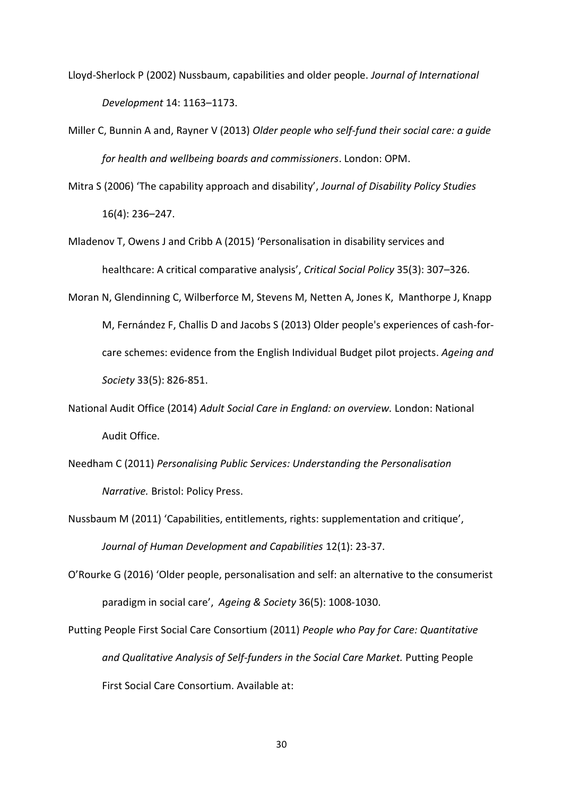- Lloyd-Sherlock P (2002) Nussbaum, capabilities and older people. *Journal of International Development* 14: 1163–1173.
- Miller C, Bunnin A and, Rayner V (2013) *Older people who self-fund their social care: a guide for health and wellbeing boards and commissioners*. London: OPM.
- Mitra S (2006) 'The capability approach and disability', *Journal of Disability Policy Studies* 16(4): 236–247.
- Mladenov T, Owens J and Cribb A (2015) 'Personalisation in disability services and healthcare: A critical comparative analysis', *Critical Social Policy* 35(3): 307–326.
- Moran N, Glendinning C, Wilberforce M, Stevens M, Netten A, Jones K, Manthorpe J, Knapp M, Fernández F, Challis D and Jacobs S (2013) Older people's experiences of cash-forcare schemes: evidence from the English Individual Budget pilot projects. *Ageing and Society* 33(5): 826-851.
- National Audit Office (2014) *Adult Social Care in England: on overview.* London: National Audit Office.
- Needham C (2011) *[Personalising Public Services: Understanding the Personalisation](http://www.policypress.co.uk/display.asp?K=9781847427595&sf1=keyword&st1=Personalising+public+services:+understanding+the+personalisation+narrative&m=2&dc=2)  Narrative.* [Bristol: Policy Press.](http://www.policypress.co.uk/display.asp?K=9781847427595&sf1=keyword&st1=Personalising+public+services:+understanding+the+personalisation+narrative&m=2&dc=2)
- Nussbaum M (2011) 'Capabilities, entitlements, rights: supplementation and critique', *Journal of Human Development and Capabilities* 12(1): 23-37.
- O'Rourke G (2016) 'Older people, personalisation and self: an alternative to the consumerist paradigm in social care', *Ageing & Society* 36(5): 1008-1030.
- Putting People First Social Care Consortium (2011) *People who Pay for Care: Quantitative and Qualitative Analysis of Self-funders in the Social Care Market.* Putting People First Social Care Consortium. Available at: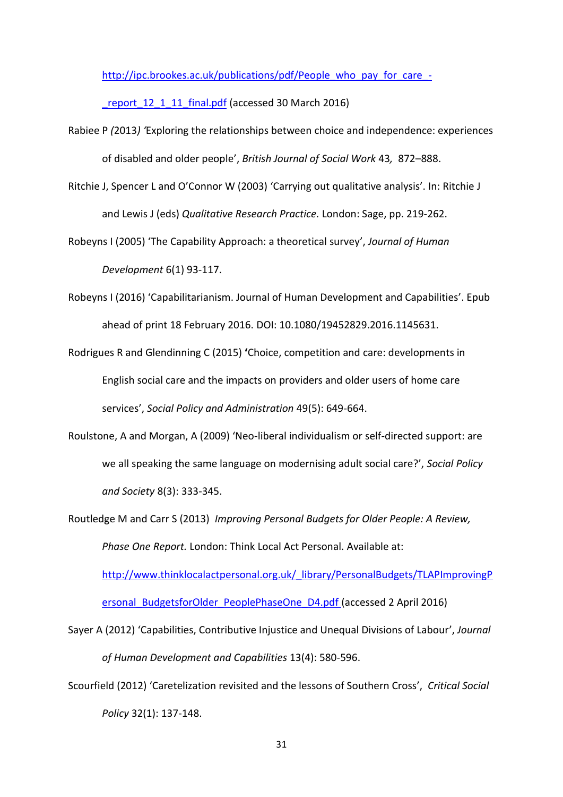[http://ipc.brookes.ac.uk/publications/pdf/People\\_who\\_pay\\_for\\_care\\_-](http://ipc.brookes.ac.uk/publications/pdf/People_who_pay_for_care_-_report_12_1_11_final.pdf)

report 12 1 11 final.pdf (accessed 30 March 2016)

- Rabiee P *(*2013*) '*Exploring the relationships between choice and independence: experiences of disabled and older people', *British Journal of Social Work* 43*,* 872–888.
- Ritchie J, Spencer L and O'Connor W (2003) 'Carrying out qualitative analysis'. In: Ritchie J and Lewis J (eds) *Qualitative Research Practice.* London: Sage, pp. 219-262.
- Robeyns I (2005) 'The Capability Approach: a theoretical survey', *Journal of Human Development* 6(1) 93-117.
- Robeyns I (2016) 'Capabilitarianism. Journal of Human Development and Capabilities'. Epub ahead of print 18 February 2016. DOI: 10.1080/19452829.2016.1145631.
- Rodrigues R and Glendinning C (2015) **'**Choice, competition and care: developments in English social care and the impacts on providers and older users of home care services', *Social Policy and Administration* 49(5): 649-664.
- Roulstone, A and Morgan, A (2009) 'Neo-liberal individualism or self-directed support: are we all speaking the same language on modernising adult social care?', *Social Policy and Society* 8(3): 333-345.

Routledge M and Carr S (2013) *Improving Personal Budgets for Older People: A Review, Phase One Report.* London: Think Local Act Personal. Available at: [http://www.thinklocalactpersonal.org.uk/\\_library/PersonalBudgets/TLAPImprovingP](http://www.thinklocalactpersonal.org.uk/_library/PersonalBudgets/TLAPImprovingPersonal_BudgetsforOlder_PeoplePhaseOne_D4.pdf) [ersonal\\_BudgetsforOlder\\_PeoplePhaseOne\\_D4.pdf](http://www.thinklocalactpersonal.org.uk/_library/PersonalBudgets/TLAPImprovingPersonal_BudgetsforOlder_PeoplePhaseOne_D4.pdf) (accessed 2 April 2016)

- Sayer A (2012) 'Capabilities, Contributive Injustice and Unequal Divisions of Labour', *Journal of Human Development and Capabilities* 13(4): 580-596.
- Scourfield (2012) 'Caretelization revisited and the lessons of Southern Cross', *Critical Social Policy* 32(1): 137-148.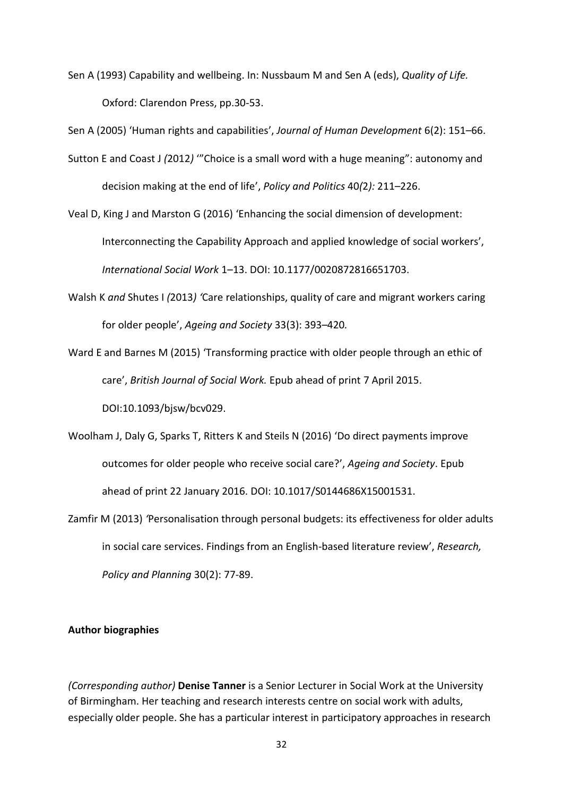Sen A (1993) Capability and wellbeing. In: Nussbaum M and Sen A (eds), *Quality of Life.*  Oxford: Clarendon Press, pp.30-53.

Sen A (2005) 'Human rights and capabilities', *Journal of Human Development* 6(2): 151–66.

Sutton E and Coast J *(*2012*)* '"Choice is a small word with a huge meaning": autonomy and decision making at the end of life', *Policy and Politics* 40*(*2*):* 211*–*226.

Veal D, King J and Marston G (2016) 'Enhancing the social dimension of development: Interconnecting the Capability Approach and applied knowledge of social workers', *International Social Work* 1–13. DOI: 10.1177/0020872816651703.

Walsh K *and* Shutes I *(*2013*) '*Care relationships, quality of care and migrant workers caring for older people', *Ageing and Society* 33(3): 393*–*420*.*

Ward E and Barnes M (2015) 'Transforming practice with older people through an ethic of care', *British Journal of Social Work.* Epub ahead of print 7 April 2015. DOI:10.1093/bjsw/bcv029.

- Woolham J, Daly G, Sparks T, Ritters K and Steils N (2016) 'Do direct payments improve outcomes for older people who receive social care?', *Ageing and Society*. Epub ahead of print 22 January 2016. DOI: 10.1017/S0144686X15001531.
- Zamfir M (2013) *'*Personalisation through personal budgets: its effectiveness for older adults in social care services. Findings from an English-based literature review', *Research, Policy and Planning* 30(2): 77-89.

#### **Author biographies**

*(Corresponding author)* **Denise Tanner** is a Senior Lecturer in Social Work at the University of Birmingham. Her teaching and research interests centre on social work with adults, especially older people. She has a particular interest in participatory approaches in research